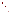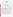

## **ETV Joint Verification Statement**

|                     | TECHNOLOGY TYPE: PORTABLE EMISSION ANALYZER                    |                              |                              |
|---------------------|----------------------------------------------------------------|------------------------------|------------------------------|
| <b>APPLICATION:</b> | DETERMINING NITROGEN OXIDES EMISSIONS                          |                              |                              |
|                     | <b>TECHNOLOGY NAME: Model 3000E Portable Emission Analyzer</b> |                              |                              |
| <b>COMPANY:</b>     | <b>Enerac Division of Energy Efficiency Systems, Inc.</b>      |                              |                              |
| <b>ADDRESS:</b>     | <b>1300 Shames Drive</b><br><b>Westbury, New York 11590</b>    | <b>PHONE:</b><br><b>FAX:</b> | 800-695-3637<br>516-997-2129 |
| <b>WEB SITE:</b>    | http://www.enerac.com                                          |                              |                              |
| $E\text{-}MAIL:$    | ees@enerac.com                                                 |                              |                              |

The U.S. Environmental Protection Agency (EPA) has created the Environmental Technology Verification (ETV) Program to facilitate the deployment of innovative or improved environmental technologies through performance verification and dissemination of information. The goal of the ETV Program is to further environmental protection by substantially accelerating the acceptance and use of improved and cost-effective technologies. ETV seeks to achieve this goal by providing high quality, peer reviewed data on technology performance to those involved in the design, distribution, financing, permitting, purchase, and use of environmental technologies.

ETV works in partnership with recognized standards and testing organizations; stakeholder groups which consist of buyers, vendor organizations, and permitters; and with the full participation of individual technology developers. The program evaluates the performance of innovative technologies by developing test plans that are responsive to the needs of stakeholders, conducting field or laboratory tests (as appropriate), collecting and analyzing data, and preparing peer reviewed reports. All evaluations are conducted in accordance with rigorous quality assurance protocols to ensure that data of known and adequate quality are generated and that the results are defensible.

The Advanced Monitoring Systems (AMS) program, one of 12 technology areas under ETV, is operated by Battelle in cooperation with EPA's National Exposure Research Laboratory. AMS has recently evaluated the performance of portable nitrogen oxides monitors used to determine emissions from combustion sources. This verification statement provides a summary of the test results for the Enerac 3000E Portable Emission Analyzer.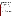## **VERIFICATION TEST DESCRIPTION**

The verification test described in this report was one of a series of tests conducted in early 1999 on commercial portable nitrogen oxides analyzers at Battelle's facilities in Columbus, Ohio. Verification testing of the analyzers involved  $(1)$  a series of laboratory tests in which certified NO and NO<sub>2</sub> standards were used to challenge the analyzers over a wide concentration range and (2) tests using realistic combustion sources, in which data from the analyzers undergoing testing were compared to simultaneous chemiluminescent  $NO$  and  $NO<sub>x</sub>$  measurements.

Verification testing lasted three to four days, of which two days were required for laboratory testing and the remainder for source emissions testing. To assess inter-unit variability, two identical analyzers were tested simultaneously in all tests, and results from the two analyzers were kept separate. The analyzers were operated at all times by a representative of Enerac and supervised at all times by Battelle staff.

Verification testing focused on measurement of NO and NO<sub>2</sub>, the sum of which is denoted as NO<sub>x</sub>. Laboratory testing included a linearity test over the entire nominal ranges of the analyzers for both NO and NO<sub>2</sub>; estimation of detection limits and response times; interference testing; assessment of sample pressure and ambient temperature effects on analyzer response; and evaluation of zero and span drift during the various laboratory tests. Tests with combustion sources assessed the accuracy of NO,  $NO<sub>2</sub>$ , and  $NO<sub>x</sub>$  measurements, relative to the chemiluminescent NO/NOx approach that is the basis of EPA Method 7E. Sources used in the testing were a gas-fired rangetop burner, a gas-fired water heater, and a diesel-powered electrical generator operated at both idle and at high RPM. These sources produced NO<sub>x</sub> emissions ranging from less than 10 to over 400 ppm. Zero and span drift resulting from exposure to source emissions were assessed, and analyzer stability was monitored during one hour of uninterrupted sampling of diesel emissions.

Quality assurance (QA) oversight of verification testing was provided by both Battelle and U.S. EPA. Battelle QA staff conducted a technical systems audit, a performance evaluation audit, and a data quality audit of 10 percent of the test data. EPA QA staff conducted an independent on-site technical system audit.

## **TECHNOLOGY DESCRIPTION**

The Enerac 3000E analyzer combines electrochemical sensor technology for NO and NO<sub>2</sub> measurement with automatic quality control features. The Enerac 3000E measures 18" x 13" x 6" and weighs 22 pounds. The NO sensor is controlled to a constant temperature by means of a pair of thermoelectric coolers located below the aluminum plate on which the sensor is mounted. A temperature sensor monitors and controls the temperature of the NO sensor. This feature is designed to avoid over-reporting of NO emissions due to temperature effects on the sensor. The analyzer also has an autocalibration protocol that checks the performance of the electrochemical sensors and interference rejection filters during each calibration. Nominal ranges for NO of 0 to 300 ppm, 0 to 1,000 ppm, and 0 to 3,000 ppm are selectable using Enerac's precision control modules (PCMs). The nominal range for  $NO<sub>2</sub>$  is 0 to 500 ppm.

The Enerac 3000E uses a battery-operated permeation dryer to provide effective sample conditioning for low  $NO<sub>x</sub>$ combustion systems which can emit a large fraction of the  $NO<sub>x</sub>$  as  $NO<sub>2</sub>$ . The Enerac 3000E also has advanced twoway communications via a modem. All performance parameters can be remotely checked by the factory.

## **VERIFICATION OF PERFORMANCE**

**Linearity:** The Enerac 3000E analyzers provided linear response for NO over the basic 0 to 1,000 ppm range, and over extended (0 to 3,000 ppm) and reduced (0 to 300 ppm) ranges.  $NO<sub>2</sub>$  response was linear over the tested range of 0 to 400 ppm.